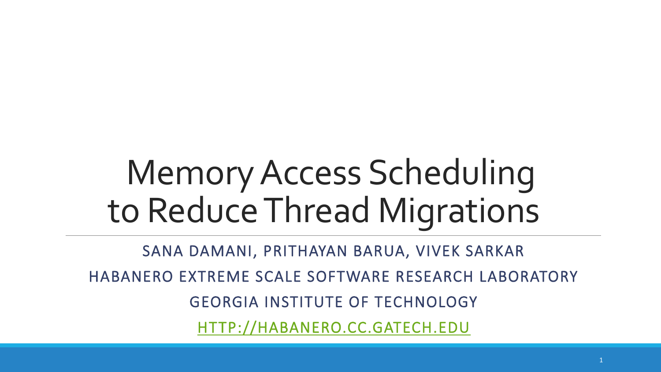## Memory Access Scheduling to Reduce Thread Migrations

SANA DAMANI, PRITHAYAN BARUA, VIVEK SARKAR

HABANERO EXTREME SCALE SOFTWARE RESEARCH LABORATORY

GEORGIA INSTITUTE OF TECHNOLOGY

[HTTP://HABANERO.CC.GATECH.EDU](http://habanero.cc.gatech.edu/)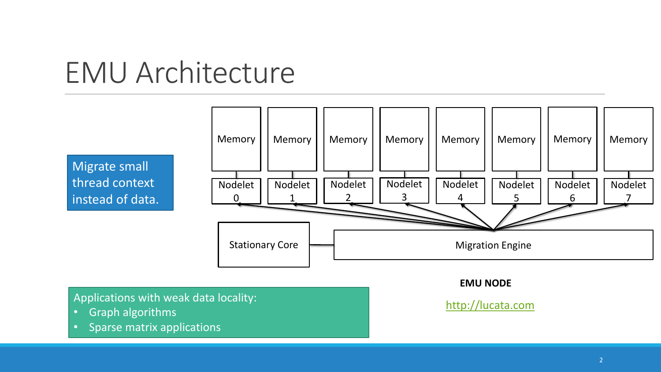#### EMU Architecture



2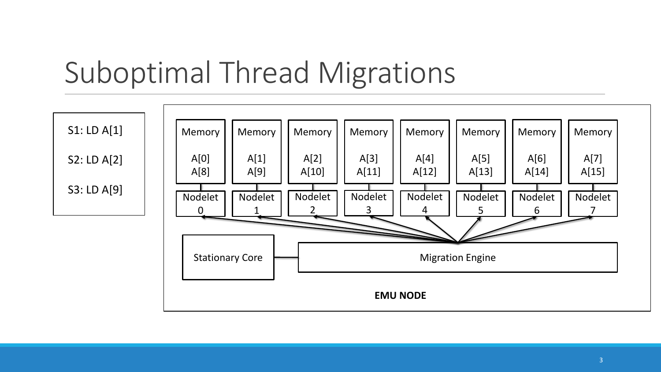### Suboptimal Thread Migrations

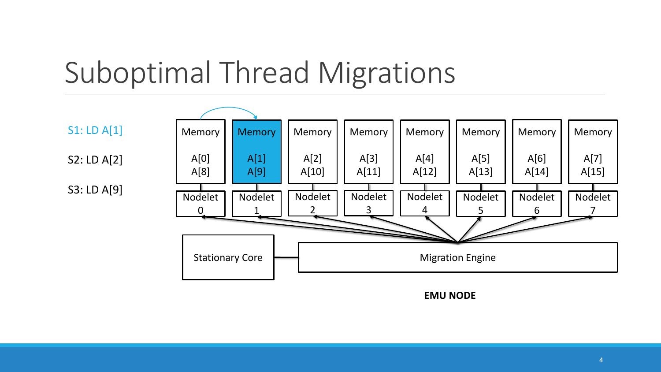#### Suboptimal Thread Migrations

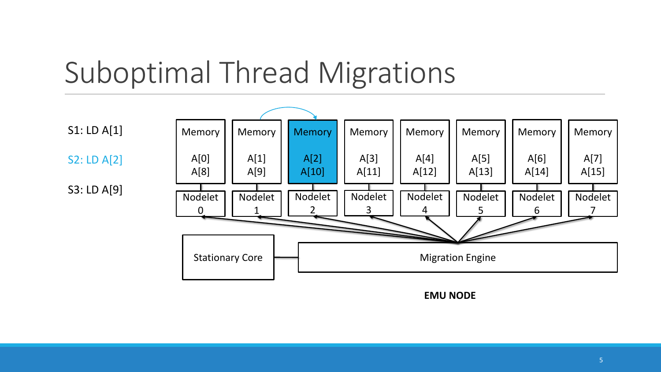#### Suboptimal Thread Migrations

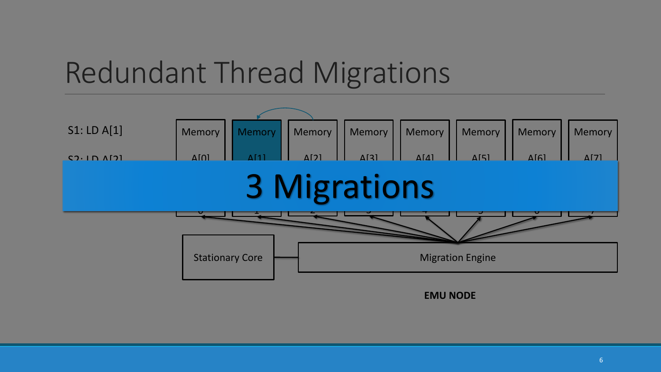#### Redundant Thread Migrations

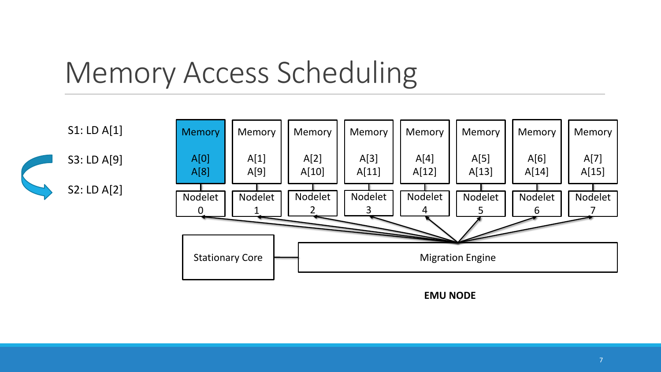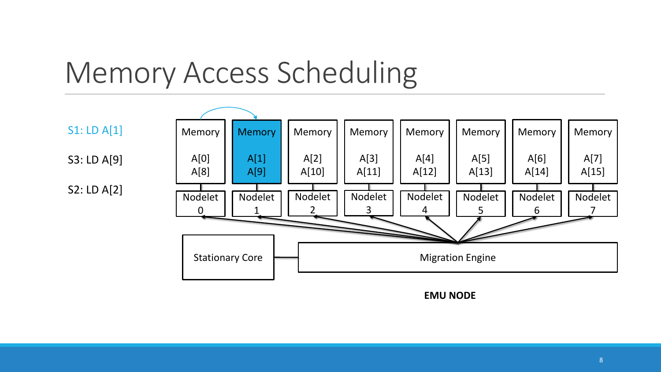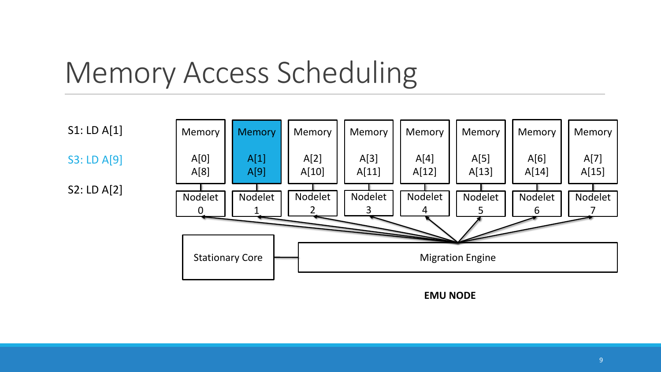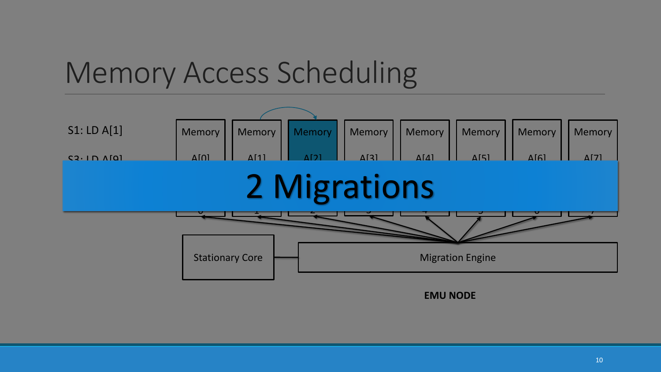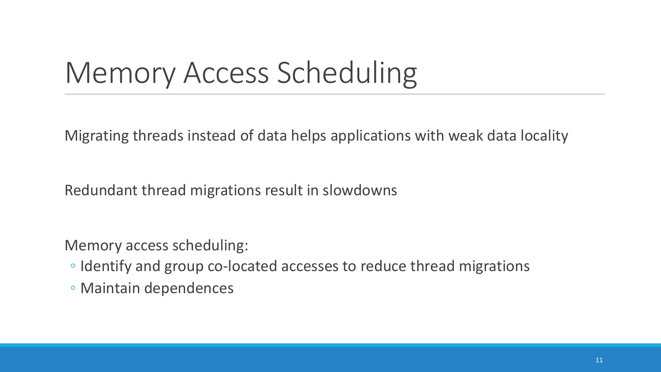Migrating threads instead of data helps applications with weak data locality

Redundant thread migrations result in slowdowns

Memory access scheduling:

- Identify and group co-located accesses to reduce thread migrations
- Maintain dependences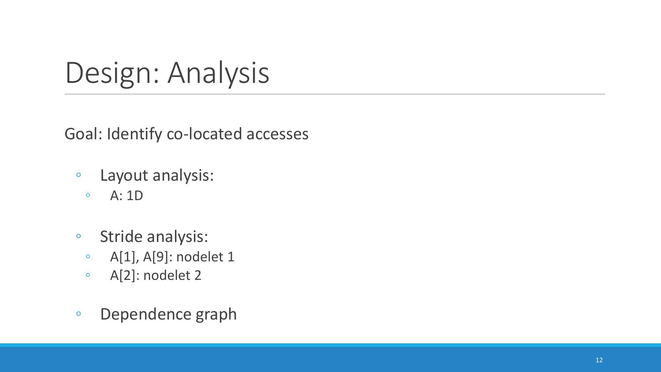#### Design: Analysis

Goal: Identify co-located accesses

- Layout analysis:
	- A: 1D
- Stride analysis:
	- A[1], A[9]: nodelet 1
	- A[2]: nodelet 2
- Dependence graph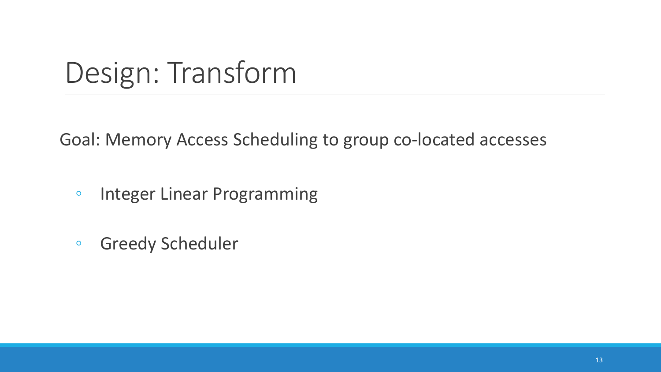### Design: Transform

Goal: Memory Access Scheduling to group co-located accesses

- Integer Linear Programming
- Greedy Scheduler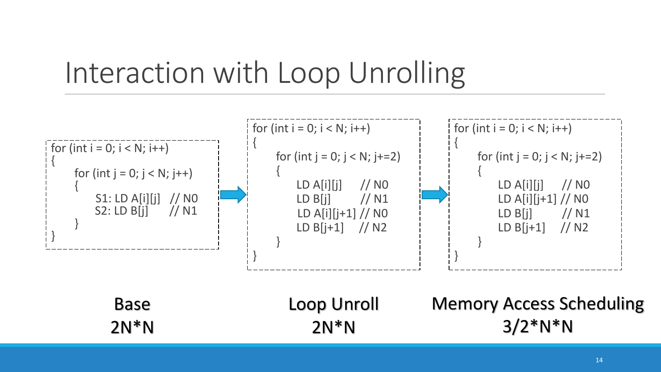#### Interaction with Loop Unrolling

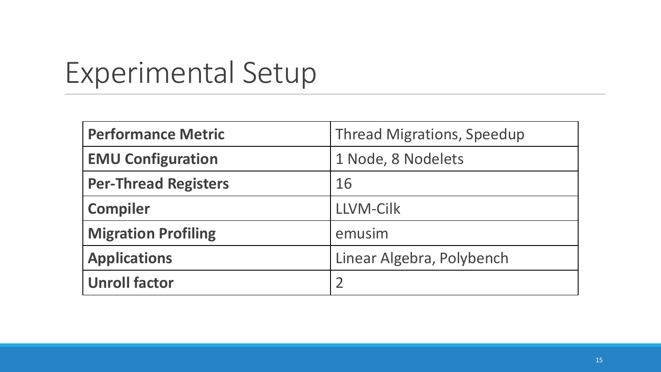#### Experimental Setup

| <b>Performance Metric</b>   | <b>Thread Migrations, Speedup</b> |
|-----------------------------|-----------------------------------|
| <b>EMU Configuration</b>    | 1 Node, 8 Nodelets                |
| <b>Per-Thread Registers</b> | 16                                |
| <b>Compiler</b>             | <b>LLVM-Cilk</b>                  |
| <b>Migration Profiling</b>  | emusim                            |
| <b>Applications</b>         | Linear Algebra, Polybench         |
| <b>Unroll factor</b>        | $\overline{2}$                    |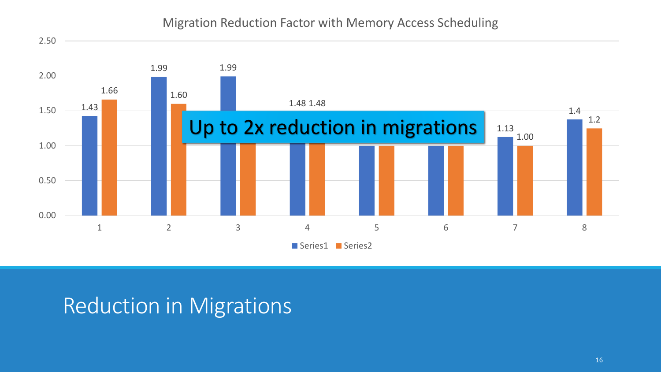#### Migration Reduction Factor with Memory Access Scheduling



#### Reduction in Migrations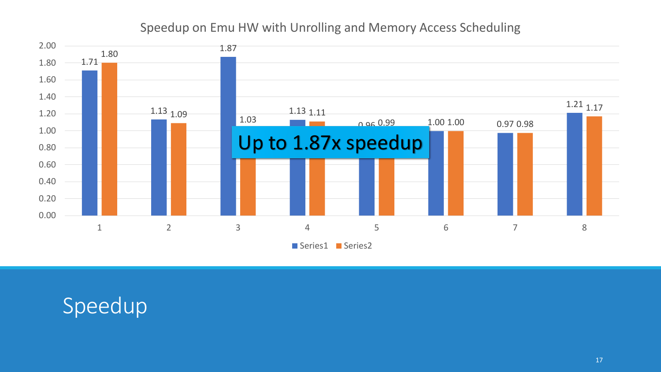#### Speedup on Emu HW with Unrolling and Memory Access Scheduling



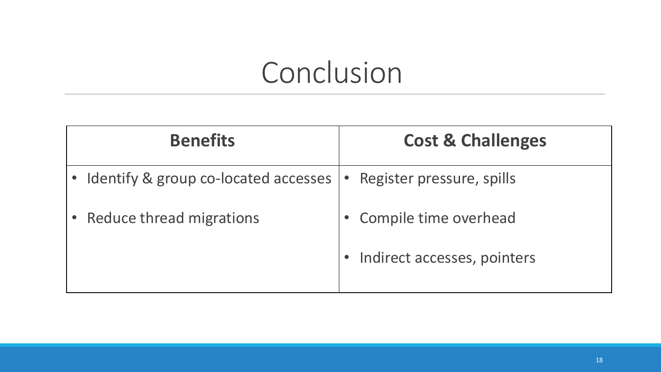### Conclusion

| <b>Benefits</b>                                                      | <b>Cost &amp; Challenges</b> |
|----------------------------------------------------------------------|------------------------------|
| • Identify & group co-located accesses   • Register pressure, spills |                              |
| • Reduce thread migrations                                           | Compile time overhead        |
|                                                                      | Indirect accesses, pointers  |